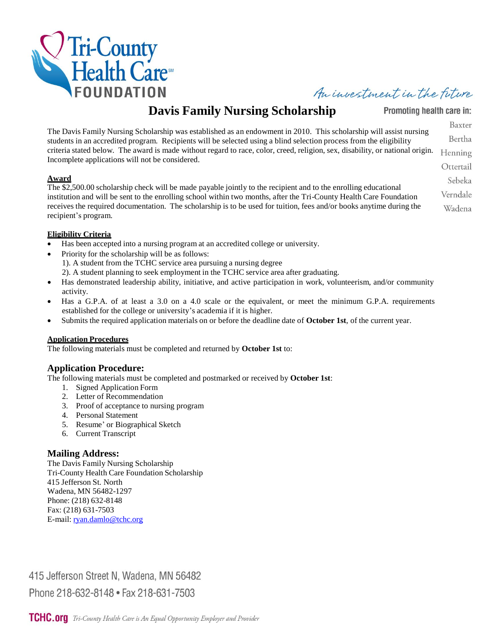

# An investment in the future

# **Davis Family Nursing Scholarship**

The Davis Family Nursing Scholarship was established as an endowment in 2010. This scholarship will assist nursing students in an accredited program. Recipients will be selected using a blind selection process from the eligibility criteria stated below. The award is made without regard to race, color, creed, religion, sex, disability, or national origin. Incomplete applications will not be considered.

#### **Award**

The \$2,500.00 scholarship check will be made payable jointly to the recipient and to the enrolling educational institution and will be sent to the enrolling school within two months, after the Tri-County Health Care Foundation receives the required documentation. The scholarship is to be used for tuition, fees and/or books anytime during the recipient's program.

#### **Eligibility Criteria**

- Has been accepted into a nursing program at an accredited college or university.
- Priority for the scholarship will be as follows:
	- 1). A student from the TCHC service area pursuing a nursing degree
	- 2). A student planning to seek employment in the TCHC service area after graduating.
- Has demonstrated leadership ability, initiative, and active participation in work, volunteerism, and/or community activity.
- Has a G.P.A. of at least a 3.0 on a 4.0 scale or the equivalent, or meet the minimum G.P.A. requirements established for the college or university's academia if it is higher.
- Submits the required application materials on or before the deadline date of **October 1st**, of the current year.

#### **Application Procedures**

The following materials must be completed and returned by **October 1st** to:

## **Application Procedure:**

The following materials must be completed and postmarked or received by **October 1st**:

- 1. Signed Application Form
- 2. Letter of Recommendation
- 3. Proof of acceptance to nursing program
- 4. Personal Statement
- 5. Resume' or Biographical Sketch
- 6. Current Transcript

### **Mailing Address:**

The Davis Family Nursing Scholarship Tri-County Health Care Foundation Scholarship 415 Jefferson St. North Wadena, MN 56482-1297 Phone: (218) 632-8148 Fax: (218) 631-7503 E-mail: ryan.damlo@tchc.org

415 Jefferson Street N, Wadena, MN 56482 Phone 218-632-8148 • Fax 218-631-7503

Promoting health care in:

Baxter Bertha Henning Ottertail Sebeka Verndale

Wadena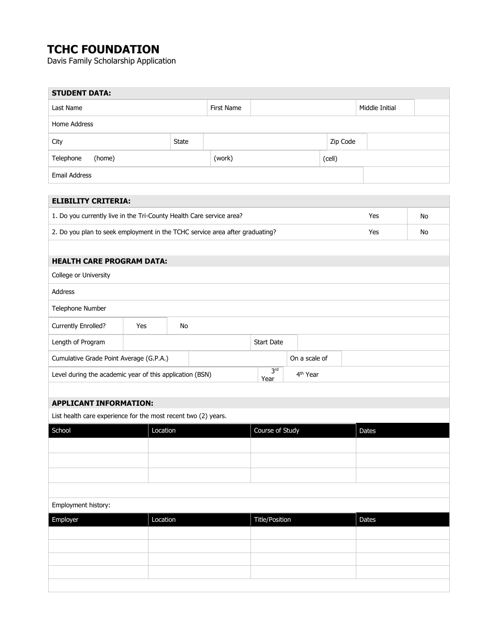# **TCHC FOUNDATION**

r.

Davis Family Scholarship Application

| <b>STUDENT DATA:</b>                                                                            |              |            |                         |                      |          |                |    |  |
|-------------------------------------------------------------------------------------------------|--------------|------------|-------------------------|----------------------|----------|----------------|----|--|
| Last Name                                                                                       |              | First Name |                         |                      |          | Middle Initial |    |  |
| Home Address                                                                                    |              |            |                         |                      |          |                |    |  |
| City                                                                                            | <b>State</b> |            |                         |                      | Zip Code |                |    |  |
| Telephone<br>(home)                                                                             |              | (work)     |                         |                      | (cell)   |                |    |  |
| Email Address                                                                                   |              |            |                         |                      |          |                |    |  |
| <b>ELIBILITY CRITERIA:</b>                                                                      |              |            |                         |                      |          |                |    |  |
|                                                                                                 |              |            |                         |                      |          | Yes            | No |  |
| 1. Do you currently live in the Tri-County Health Care service area?                            |              |            |                         |                      |          | Yes            | No |  |
| 2. Do you plan to seek employment in the TCHC service area after graduating?                    |              |            |                         |                      |          |                |    |  |
| <b>HEALTH CARE PROGRAM DATA:</b>                                                                |              |            |                         |                      |          |                |    |  |
| College or University                                                                           |              |            |                         |                      |          |                |    |  |
| Address                                                                                         |              |            |                         |                      |          |                |    |  |
| Telephone Number                                                                                |              |            |                         |                      |          |                |    |  |
| Currently Enrolled?<br>Yes                                                                      | No           |            |                         |                      |          |                |    |  |
| Length of Program                                                                               |              |            | <b>Start Date</b>       |                      |          |                |    |  |
| Cumulative Grade Point Average (G.P.A.)                                                         |              |            |                         | On a scale of        |          |                |    |  |
| Level during the academic year of this application (BSN)                                        |              |            | 3 <sup>rd</sup><br>Year | 4 <sup>th</sup> Year |          |                |    |  |
|                                                                                                 |              |            |                         |                      |          |                |    |  |
| <b>APPLICANT INFORMATION:</b><br>List health care experience for the most recent two (2) years. |              |            |                         |                      |          |                |    |  |
| School<br>Location                                                                              |              |            | Course of Study         |                      |          | Dates          |    |  |
|                                                                                                 |              |            |                         |                      |          |                |    |  |
|                                                                                                 |              |            |                         |                      |          |                |    |  |
|                                                                                                 |              |            |                         |                      |          |                |    |  |
|                                                                                                 |              |            |                         |                      |          |                |    |  |
| Employment history:                                                                             |              |            |                         |                      |          |                |    |  |
| Employer<br>Location                                                                            |              |            | <b>Title/Position</b>   |                      |          | Dates          |    |  |
|                                                                                                 |              |            |                         |                      |          |                |    |  |
|                                                                                                 |              |            |                         |                      |          |                |    |  |
|                                                                                                 |              |            |                         |                      |          |                |    |  |
|                                                                                                 |              |            |                         |                      |          |                |    |  |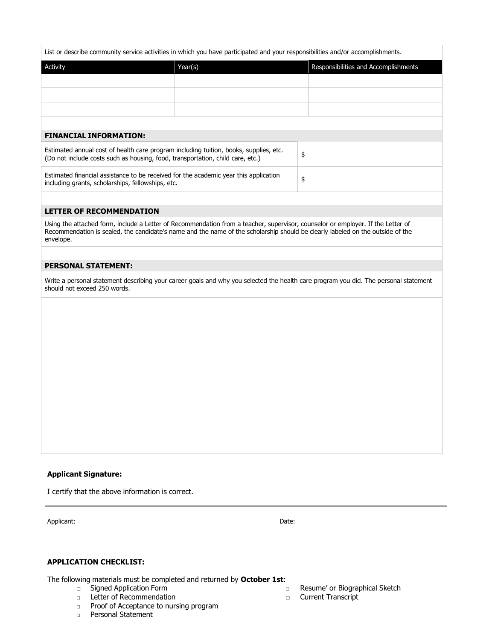List or describe community service activities in which you have participated and your responsibilities and/or accomplishments.

| Activity | Year(s) | Responsibilities and Accomplishments |
|----------|---------|--------------------------------------|
|          |         |                                      |
|          |         |                                      |
|          |         |                                      |
|          |         |                                      |

\$

#### **FINANCIAL INFORMATION:**

| Estimated annual cost of health care program including tuition, books, supplies, etc. |  |
|---------------------------------------------------------------------------------------|--|
| (Do not include costs such as housing, food, transportation, child care, etc.)        |  |

Estimated financial assistance to be received for the academic year this application including grants, scholarships, fellowships, etc.

#### **LETTER OF RECOMMENDATION**

Using the attached form, include a Letter of Recommendation from a teacher, supervisor, counselor or employer. If the Letter of Recommendation is sealed, the candidate's name and the name of the scholarship should be clearly labeled on the outside of the envelope.

#### **PERSONAL STATEMENT:**

Write a personal statement describing your career goals and why you selected the health care program you did. The personal statement should not exceed 250 words.

#### **Applicant Signature:**

I certify that the above information is correct.

Applicant: Date:

#### **APPLICATION CHECKLIST:**

The following materials must be completed and returned by **October 1st**:

- □ Signed Application Form
- □ Letter of Recommendation
- □ Proof of Acceptance to nursing program
- □ Personal Statement

□ Resume' or Biographical Sketch

□ Current Transcript